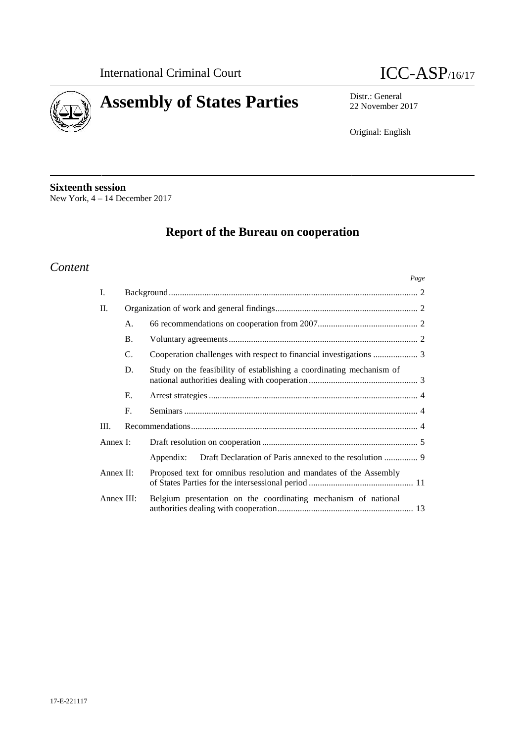



22 November 2017

Original: English

**Sixteenth session** New York, 4 – 14 December 2017

# **Report of the Bureau on cooperation**

## *Content*

|           |            | Page                                                                 |
|-----------|------------|----------------------------------------------------------------------|
| I.        |            |                                                                      |
| II.       |            |                                                                      |
|           | A.         |                                                                      |
|           | <b>B.</b>  |                                                                      |
|           | C.         |                                                                      |
|           | D.         | Study on the feasibility of establishing a coordinating mechanism of |
|           | Е.         |                                                                      |
|           | F.         |                                                                      |
| III.      |            |                                                                      |
| Annex I:  |            |                                                                      |
|           |            | Appendix:                                                            |
| Annex II: |            | Proposed text for omnibus resolution and mandates of the Assembly    |
|           | Annex III: | Belgium presentation on the coordinating mechanism of national       |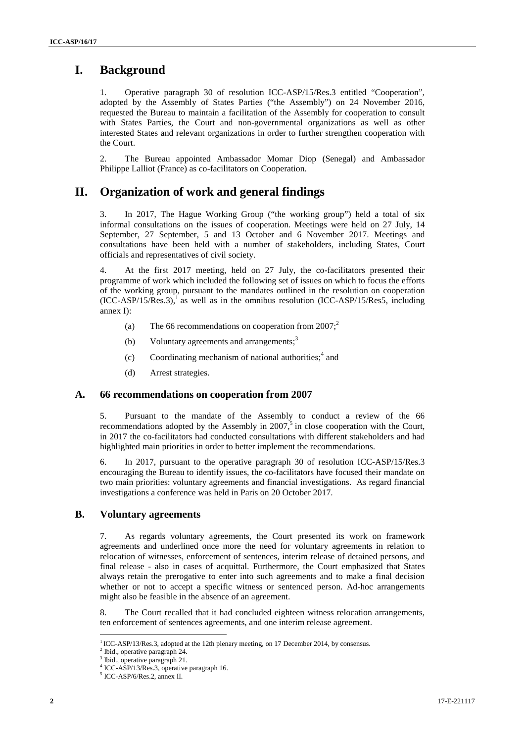## **I. Background**

1. Operative paragraph 30 of resolution ICC-ASP/15/Res.3 entitled "Cooperation", adopted by the Assembly of States Parties ("the Assembly") on 24 November 2016, requested the Bureau to maintain a facilitation of the Assembly for cooperation to consult with States Parties, the Court and non-governmental organizations as well as other interested States and relevant organizations in order to further strengthen cooperation with the Court.

2. The Bureau appointed Ambassador Momar Diop (Senegal) and Ambassador Philippe Lalliot (France) as co-facilitators on Cooperation.

## **II. Organization of work and general findings**

3. In 2017, The Hague Working Group ("the working group") held a total of six informal consultations on the issues of cooperation. Meetings were held on 27 July, 14 September, 27 September, 5 and 13 October and 6 November 2017. Meetings and consultations have been held with a number of stakeholders, including States, Court officials and representatives of civil society.

At the first 2017 meeting, held on 27 July, the co-facilitators presented their programme of work which included the following set of issues on which to focus the efforts of the working group, pursuant to the mandates outlined in the resolution on cooperation  $(ICC-ASP/15/Res.3)<sup>1</sup>$  as well as in the omnibus resolution  $(ICC-ASP/15/Res5, including$ annex I):

- (a) The 66 recommendations on cooperation from  $2007$ ;<sup>2</sup>
- (b) Voluntary agreements and arrangements; $3$
- (c) Coordinating mechanism of national authorities;  $4 \text{ and } 4$
- (d) Arrest strategies.

#### **A. 66 recommendations on cooperation from 2007**

5. Pursuant to the mandate of the Assembly to conduct a review of the 66 recommendations adopted by the Assembly in  $2007$ , in close cooperation with the Court, in 2017 the co-facilitators had conducted consultations with different stakeholders and had highlighted main priorities in order to better implement the recommendations.

6. In 2017, pursuant to the operative paragraph 30 of resolution ICC-ASP/15/Res.3 encouraging the Bureau to identify issues, the co-facilitators have focused their mandate on two main priorities: voluntary agreements and financial investigations. As regard financial investigations a conference was held in Paris on 20 October 2017.

### **B. Voluntary agreements**

7. As regards voluntary agreements, the Court presented its work on framework agreements and underlined once more the need for voluntary agreements in relation to relocation of witnesses, enforcement of sentences, interim release of detained persons, and final release -also in cases of acquittal. Furthermore, the Court emphasized that States always retain the prerogative to enter into such agreements and to make a final decision whether or not to accept a specific witness or sentenced person. Ad-hoc arrangements might also be feasible in the absence of an agreement.

8. The Court recalled that it had concluded eighteen witness relocation arrangements, ten enforcement of sentences agreements, and one interim release agreement.

<sup>&</sup>lt;sup>1</sup> ICC-ASP/13/Res.3, adopted at the 12th plenary meeting, on 17 December 2014, by consensus. <sup>2</sup> Ibid., operative paragraph 24.

Ibid., operative paragraph 21.

<sup>4</sup> ICC-ASP/13/Res.3, operative paragraph 16. <sup>5</sup> ICC-ASP/6/Res.2, annex II.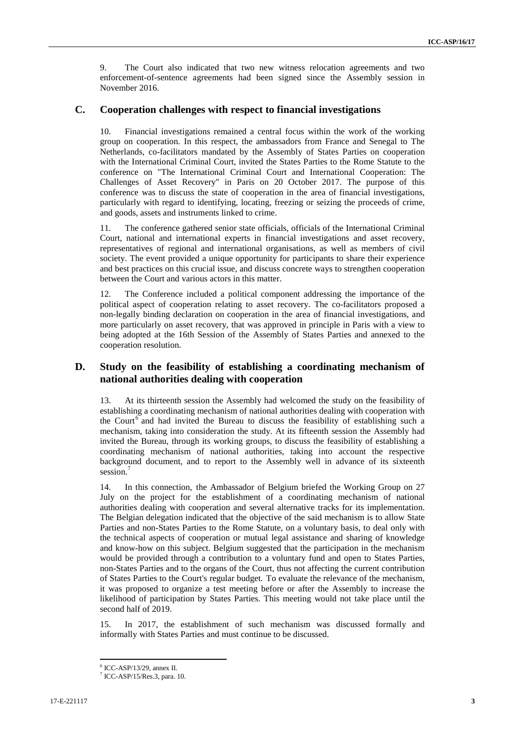9. The Court also indicated that two new witness relocation agreements and two enforcement-of-sentence agreements had been signed since the Assembly session in November 2016.

#### **C. Cooperation challenges with respect to financial investigations**

Financial investigations remained a central focus within the work of the working group on cooperation. In this respect, the ambassadors from France and Senegal to The Netherlands, co-facilitators mandated by the Assembly of States Parties on cooperation with the International Criminal Court, invited the States Parties to the Rome Statute to the conference on "The International Criminal Court and International Cooperation: The Challenges of Asset Recovery" in Paris on 20 October 2017. The purpose of this conference was to discuss the state of cooperation in the area of financial investigations, particularly with regard to identifying, locating, freezing or seizing the proceeds of crime, and goods, assets and instruments linked to crime.

11. The conference gathered senior state officials, officials of the International Criminal Court, national and international experts in financial investigations and asset recovery, representatives of regional and international organisations, as well as members of civil society. The event provided a unique opportunity for participants to share their experience and best practices on this crucial issue, and discuss concrete ways to strengthen cooperation between the Court and various actors in this matter.

12. The Conference included a political component addressing the importance of the political aspect of cooperation relating to asset recovery. The co-facilitators proposed a non-legally binding declaration on cooperation in the area of financial investigations, and more particularly on asset recovery, that was approved in principle in Paris with a view to being adopted at the 16th Session of the Assembly of States Parties and annexed to the cooperation resolution.

### **D. Study on the feasibility of establishing a coordinating mechanism of national authorities dealing with cooperation**

13. At its thirteenth session the Assembly had welcomed the study on the feasibility of establishing a coordinating mechanism of national authorities dealing with cooperation with the Court<sup>6</sup> and had invited the Bureau to discuss the feasibility of establishing such a mechanism, taking into consideration the study. At its fifteenth session the Assembly had invited the Bureau, through its working groups, to discuss the feasibility of establishing a coordinating mechanism of national authorities, taking into account the respective background document, and to report to the Assembly well in advance of its sixteenth session.<sup>7</sup>

14. In this connection, the Ambassador of Belgium briefed the Working Group on 27 July on the project for the establishment of a coordinating mechanism of national authorities dealing with cooperation and several alternative tracks for its implementation. The Belgian delegation indicated that the objective of the said mechanism is to allow State Parties and non-States Parties to the Rome Statute, on a voluntary basis, to deal only with the technical aspects of cooperation or mutual legal assistance and sharing of knowledge and know-how on this subject. Belgium suggested that the participation in the mechanism would be provided through a contribution to a voluntary fund and open to States Parties, non-States Parties and to the organs of the Court, thus not affecting the current contribution of States Parties to the Court's regular budget. To evaluate the relevance of the mechanism, it was proposed to organize a test meeting before or after the Assembly to increase the likelihood of participation by States Parties. This meeting would not take place until the second half of 2019.

15. In 2017, the establishment of such mechanism was discussed formally and informally with States Parties and must continue to be discussed.

 $\frac{6}{7}$  ICC-ASP/13/29, annex II.<br> $\frac{7}{7}$  ICC-ASP/15/Res.3, para. 10.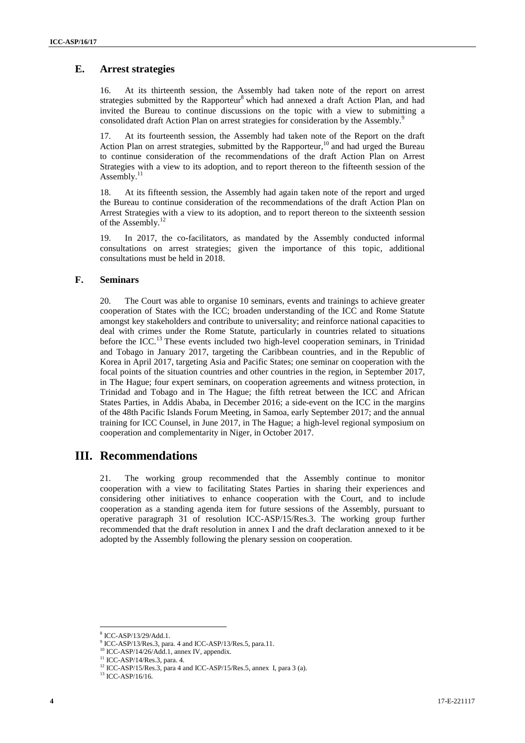### **E. Arrest strategies**

16. At its thirteenth session, the Assembly had taken note of the report on arrest strategies submitted by the Rapporteur<sup>8</sup> which had annexed a draft Action Plan, and had invited the Bureau to continue discussions on the topic with a view to submitting a consolidated draft Action Plan on arrest strategies for consideration by the Assembly.<sup>9</sup>

17. At its fourteenth session, the Assembly had taken note of the Report on the draft Action Plan on arrest strategies, submitted by the Rapporteur,<sup>10</sup> and had urged the Bureau to continue consideration of the recommendations of the draft Action Plan on Arrest Strategies with a view to its adoption, and to report thereon to the fifteenth session of the Assembly. $^{11}$ 

18. At its fifteenth session, the Assembly had again taken note of the report and urged the Bureau to continue consideration of the recommendations of the draft Action Plan on Arrest Strategies with a view to its adoption, and to report thereon to the sixteenth session of the Assembly.<sup>12</sup>

19. In 2017, the co-facilitators, as mandated by the Assembly conducted informal consultations on arrest strategies; given the importance of this topic, additional consultations must be held in 2018.

#### **F. Seminars**

20. The Court was able to organise 10 seminars, events and trainings to achieve greater cooperation of States with the ICC; broaden understanding of the ICC and Rome Statute amongst key stakeholders and contribute to universality; and reinforce national capacities to deal with crimes under the Rome Statute, particularly in countries related to situations before the ICC.<sup>13</sup> These events included two high-level cooperation seminars, in Trinidad and Tobago in January 2017, targeting the Caribbean countries, and in the Republic of Korea in April 2017, targeting Asia and Pacific States; one seminar on cooperation with the focal points of the situation countries and other countries in the region, in September 2017, in The Hague; four expert seminars, on cooperation agreements and witness protection, in Trinidad and Tobago and in The Hague; the fifth retreat between the ICC and African States Parties, in Addis Ababa, in December 2016; a side-event on the ICC in the margins of the 48th Pacific Islands Forum Meeting, in Samoa, early September 2017; and the annual training for ICC Counsel, in June 2017, in The Hague; a high-level regional symposium on cooperation and complementarity in Niger, in October 2017.

## **III. Recommendations**

21. The working group recommended that the Assembly continue to monitor cooperation with a view to facilitating States Parties in sharing their experiences and considering other initiatives to enhance cooperation with the Court, and to include cooperation as a standing agenda item for future sessions of the Assembly, pursuant to operative paragraph 31 of resolution ICC-ASP/15/Res.3. The working group further recommended that the draft resolution in annex I and the draft declaration annexed to it be adopted by the Assembly following the plenary session on cooperation.

<sup>8</sup> ICC-ASP/13/29/Add.1.

<sup>&</sup>lt;sup>9</sup> ICC-ASP/13/Res.3, para. 4 and ICC-ASP/13/Res.5, para.11.<br><sup>10</sup> ICC-ASP/14/26/Add.1, annex IV, appendix.

<sup>11</sup> ICC-ASP/14/Res.3, para. 4.

<sup>&</sup>lt;sup>12</sup> ICC-ASP/15/Res.3, para 4 and ICC-ASP/15/Res.5, annex I, para 3 (a). <sup>13</sup> ICC-ASP/16/16.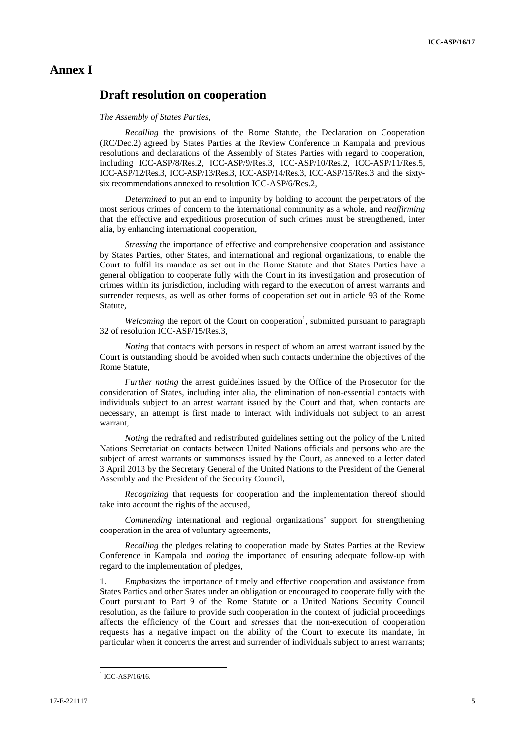## **Annex I**

## **Draft resolution on cooperation**

#### *The Assembly of States Parties,*

*Recalling* the provisions of the Rome Statute, the Declaration on Cooperation (RC/Dec.2) agreed by States Parties at the Review Conference in Kampala and previous resolutions and declarations of the Assembly of States Parties with regard to cooperation, including ICC-ASP/8/Res.2, ICC-ASP/9/Res.3, ICC-ASP/10/Res.2, ICC-ASP/11/Res.5, ICC-ASP/12/Res.3, ICC-ASP/13/Res.3, ICC-ASP/14/Res.3, ICC-ASP/15/Res.3 and the sixty six recommendations annexed to resolution ICC-ASP/6/Res.2,

*Determined* to put an end to impunity by holding to account the perpetrators of the most serious crimes of concern to the international community as a whole, and *reaffirming* that the effective and expeditious prosecution of such crimes must be strengthened, inter alia, by enhancing international cooperation,

*Stressing* the importance of effective and comprehensive cooperation and assistance by States Parties, other States, and international and regional organizations, to enable the Court to fulfil its mandate as set out in the Rome Statute and that States Parties have a general obligation to cooperate fully with the Court in its investigation and prosecution of crimes within its jurisdiction, including with regard to the execution of arrest warrants and surrender requests, as well as other forms of cooperation set out in article 93 of the Rome Statute,

Welcoming the report of the Court on cooperation<sup>1</sup>, submitted pursuant to paragraph 32 of resolution ICC-ASP/15/Res.3,

*Noting* that contacts with persons in respect of whom an arrest warrant issued by the Court is outstanding should be avoided when such contacts undermine the objectives of the Rome Statute,

*Further noting* the arrest guidelines issued by the Office of the Prosecutor for the consideration of States, including inter alia, the elimination of non-essential contacts with individuals subject to an arrest warrant issued by the Court and that, when contacts are necessary, an attempt is first made to interact with individuals not subject to an arrest warrant,

*Noting* the redrafted and redistributed guidelines setting out the policy of the United Nations Secretariat on contacts between United Nations officials and persons who are the subject of arrest warrants or summonses issued by the Court, as annexed to a letter dated 3 April 2013 by the Secretary General of the United Nations to the President of the General Assembly and the President of the Security Council,

*Recognizing* that requests for cooperation and the implementation thereof should take into account the rights of the accused,

*Commending* international and regional organizations' support for strengthening cooperation in the area of voluntary agreements,

*Recalling* the pledges relating to cooperation made by States Parties at the Review Conference in Kampala and *noting* the importance of ensuring adequate follow-up with regard to the implementation of pledges,

1. *Emphasizes* the importance of timely and effective cooperation and assistance from States Parties and other States under an obligation or encouraged to cooperate fully with the Court pursuant to Part 9 of the Rome Statute or a United Nations Security Council resolution, as the failure to provide such cooperation in the context of judicial proceedings affects the efficiency of the Court and *stresses* that the non-execution of cooperation requests has a negative impact on the ability of the Court to execute its mandate, in particular when it concerns the arrest and surrender of individuals subject to arrest warrants;

 $1$  ICC-ASP/16/16.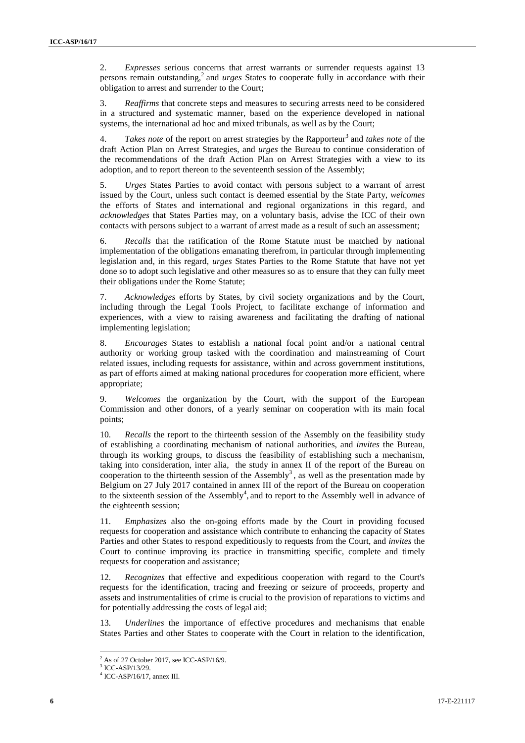2. *Expresses* serious concerns that arrest warrants or surrender requests against 13 persons remain outstanding,<sup>2</sup> and *urges* States to cooperate fully in accordance with their obligation to arrest and surrender to the Court;

3. *Reaffirms* that concrete steps and measures to securing arrests need to be considered in a structured and systematic manner, based on the experience developed in national systems, the international ad hoc and mixed tribunals, as well as by the Court;

4. *Takes note* of the report on arrest strategies by the Rapporteur<sup>3</sup> and *takes note* of the draft Action Plan on Arrest Strategies, and *urges* the Bureau to continue consideration of the recommendations of the draft Action Plan on Arrest Strategies with a view to its adoption, and to report thereon to the seventeenth session of the Assembly;

5. *Urges* States Parties to avoid contact with persons subject to a warrant of arrest issued by the Court, unless such contact is deemed essential by the State Party, *welcomes* the efforts of States and international and regional organizations in this regard, and *acknowledges* that States Parties may, on a voluntary basis, advise the ICC of their own contacts with persons subject to a warrant of arrest made as a result of such an assessment;

6. *Recalls* that the ratification of the Rome Statute must be matched by national implementation of the obligations emanating therefrom, in particular through implementing legislation and, in this regard, *urges* States Parties to the Rome Statute that have not yet done so to adopt such legislative and other measures so as to ensure that they can fully meet their obligations under the Rome Statute;

7. *Acknowledges* efforts by States, by civil society organizations and by the Court, including through the Legal Tools Project, to facilitate exchange of information and experiences, with a view to raising awareness and facilitating the drafting of national implementing legislation;

8. *Encourages* States to establish a national focal point and/or a national central authority or working group tasked with the coordination and mainstreaming of Court related issues, including requests for assistance, within and across government institutions, as part of efforts aimed at making national procedures for cooperation more efficient, where appropriate;

9. *Welcomes* the organization by the Court, with the support of the European Commission and other donors, of a yearly seminar on cooperation with its main focal points;

10. *Recalls* the report to the thirteenth session of the Assembly on the feasibility study of establishing a coordinating mechanism of national authorities, and *invites* the Bureau, through its working groups, to discuss the feasibility of establishing such a mechanism, taking into consideration, inter alia, the study in annex II of the report of the Bureau on cooperation to the thirteenth session of the Assembly<sup>3</sup>, as well as the presentation made by Belgium on 27 July 2017 contained in annex III of the report of the Bureau on cooperation to the sixteenth session of the Assembly<sup>4</sup>, and to report to the Assembly well in advance of the eighteenth session;

11. *Emphasizes* also the on-going efforts made by the Court in providing focused requests for cooperation and assistance which contribute to enhancing the capacity of States Parties and other States to respond expeditiously to requests from the Court, and *invites* the Court to continue improving its practice in transmitting specific, complete and timely requests for cooperation and assistance;

12. *Recognizes* that effective and expeditious cooperation with regard to the Court's requests for the identification, tracing and freezing or seizure of proceeds, property and assets and instrumentalities of crime is crucial to the provision of reparations to victims and for potentially addressing the costs of legal aid;

13. *Underlines* the importance of effective procedures and mechanisms that enable States Parties and other States to cooperate with the Court in relation to the identification,

 $^{2}$  As of 27 October 2017, see ICC-ASP/16/9.<br> $^{3}$  ICC-ASP/13/29.

 $4$  ICC-ASP/16/17, annex III.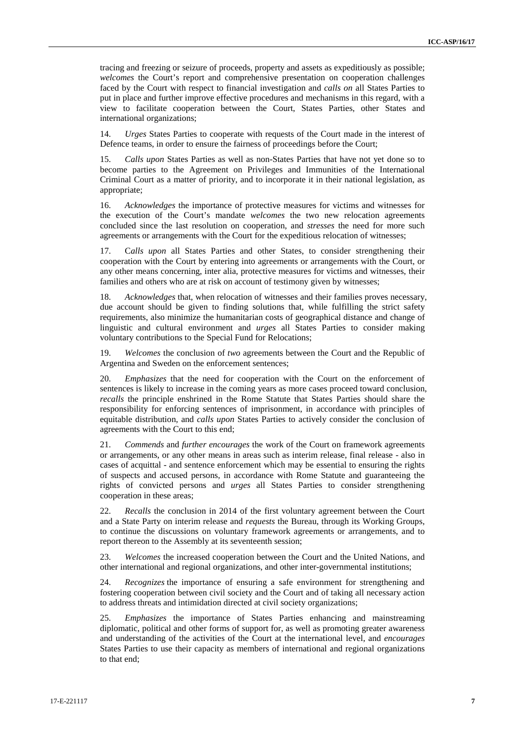tracing and freezing or seizure of proceeds, property and assets as expeditiously as possible; *welcomes* the Court's report and comprehensive presentation on cooperation challenges faced by the Court with respect to financial investigation and *calls on* all States Parties to put in place and further improve effective procedures and mechanisms in this regard, with a view to facilitate cooperation between the Court, States Parties, other States and international organizations;

14. *Urges* States Parties to cooperate with requests of the Court made in the interest of Defence teams, in order to ensure the fairness of proceedings before the Court;

15. *Calls upon* States Parties as well as non-States Parties that have not yet done so to become parties to the Agreement on Privileges and Immunities of the International Criminal Court as a matter of priority, and to incorporate it in their national legislation, as appropriate;

16. *Acknowledges* the importance of protective measures for victims and witnesses for the execution of the Court's mandate *welcomes* the two new relocation agreements concluded since the last resolution on cooperation, and *stresses* the need for more such agreements or arrangements with the Court for the expeditious relocation of witnesses;

17. C*alls upon* all States Parties and other States, to consider strengthening their cooperation with the Court by entering into agreements or arrangements with the Court, or any other means concerning, inter alia, protective measures for victims and witnesses, their families and others who are at risk on account of testimony given by witnesses;

18. *Acknowledges* that, when relocation of witnesses and their families proves necessary, due account should be given to finding solutions that, while fulfilling the strict safety requirements, also minimize the humanitarian costs of geographical distance and change of linguistic and cultural environment and *urges* all States Parties to consider making voluntary contributions to the Special Fund for Relocations;

19. *Welcomes* the conclusion of *two* agreements between the Court and the Republic of Argentina and Sweden on the enforcement sentences;

20. *Emphasizes* that the need for cooperation with the Court on the enforcement of sentences is likely to increase in the coming years as more cases proceed toward conclusion, *recalls* the principle enshrined in the Rome Statute that States Parties should share the responsibility for enforcing sentences of imprisonment, in accordance with principles of equitable distribution, and *calls upon* States Parties to actively consider the conclusion of agreements with the Court to this end;

21. *Commends* and *further encourages* the work of the Court on framework agreements or arrangements, or any other means in areas such as interim release, final release - also in cases of acquittal - and sentence enforcement which may be essential to ensuring the rights of suspects and accused persons, in accordance with Rome Statute and guaranteeing the rights of convicted persons and *urges* all States Parties to consider strengthening cooperation in these areas;

22. *Recalls* the conclusion in 2014 of the first voluntary agreement between the Court and a State Party on interim release and *requests* the Bureau, through its Working Groups, to continue the discussions on voluntary framework agreements or arrangements, and to report thereon to the Assembly at its seventeenth session;

23. *Welcomes* the increased cooperation between the Court and the United Nations, and other international and regional organizations, and other inter-governmental institutions;

24. *Recognizes* the importance of ensuring a safe environment for strengthening and fostering cooperation between civil society and the Court and of taking all necessary action to address threats and intimidation directed at civil society organizations;

25. *Emphasizes* the importance of States Parties enhancing and mainstreaming diplomatic, political and other forms of support for, as well as promoting greater awareness and understanding of the activities of the Court at the international level, and *encourages* States Parties to use their capacity as members of international and regional organizations to that end;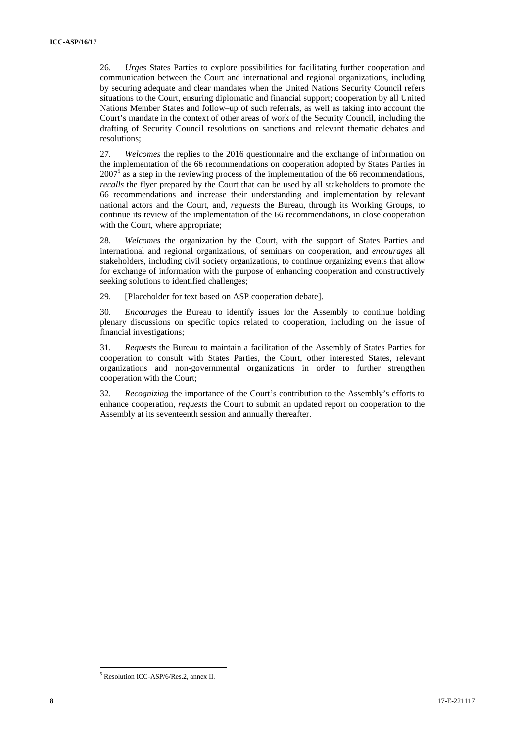26. *Urges* States Parties to explore possibilities for facilitating further cooperation and communication between the Court and international and regional organizations, including by securing adequate and clear mandates when the United Nations Security Council refers situations to the Court, ensuring diplomatic and financial support; cooperation by all United Nations Member States and follow–up of such referrals, as well as taking into account the Court's mandate in the context of other areas of work of the Security Council, including the drafting of Security Council resolutions on sanctions and relevant thematic debates and resolutions;

27. *Welcomes* the replies to the 2016 questionnaire and the exchange of information on the implementation of the 66 recommendations on cooperation adopted by States Parties in  $2007<sup>5</sup>$  as a step in the reviewing process of the implementation of the 66 recommendations, *recalls* the flyer prepared by the Court that can be used by all stakeholders to promote the 66 recommendations and increase their understanding and implementation by relevant national actors and the Court, and, *requests* the Bureau, through its Working Groups, to continue its review of the implementation of the 66 recommendations, in close cooperation with the Court, where appropriate;

28. *Welcomes* the organization by the Court, with the support of States Parties and international and regional organizations, of seminars on cooperation, and *encourages* all stakeholders, including civil society organizations, to continue organizing events that allow for exchange of information with the purpose of enhancing cooperation and constructively seeking solutions to identified challenges;

29. [Placeholder for text based on ASP cooperation debate].

30. *Encourages* the Bureau to identify issues for the Assembly to continue holding plenary discussions on specific topics related to cooperation, including on the issue of financial investigations;

31. *Requests* the Bureau to maintain a facilitation of the Assembly of States Parties for cooperation to consult with States Parties, the Court, other interested States, relevant organizations and non-governmental organizations in order to further strengthen cooperation with the Court;

32. *Recognizing* the importance of the Court's contribution to the Assembly's efforts to enhance cooperation, *requests* the Court to submit an updated report on cooperation to the Assembly at its seventeenth session and annually thereafter.

<sup>5</sup> Resolution ICC-ASP/6/Res.2, annex II.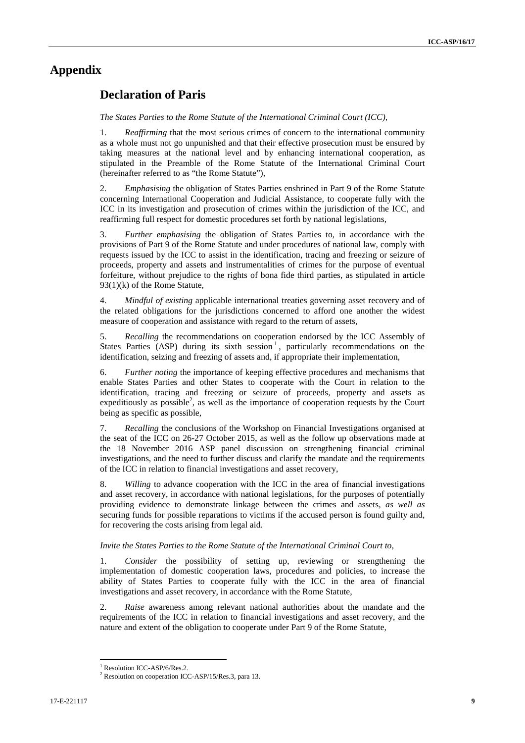## **Appendix**

## **Declaration of Paris**

*The States Parties to the Rome Statute of the International Criminal Court (ICC),*

1. *Reaffirming* that the most serious crimes of concern to the international community as a whole must not go unpunished and that their effective prosecution must be ensured by taking measures at the national level and by enhancing international cooperation, as stipulated in the Preamble of the Rome Statute of the International Criminal Court (hereinafter referred to as "the Rome Statute"),

2. *Emphasising* the obligation of States Parties enshrined in Part 9 of the Rome Statute concerning International Cooperation and Judicial Assistance, to cooperate fully with the ICC in its investigation and prosecution of crimes within the jurisdiction of the ICC, and reaffirming full respect for domestic procedures set forth by national legislations,

3. *Further emphasising* the obligation of States Parties to, in accordance with the provisions of Part 9 of the Rome Statute and under procedures of national law, comply with requests issued by the ICC to assist in the identification, tracing and freezing or seizure of proceeds, property and assets and instrumentalities of crimes for the purpose of eventual forfeiture, without prejudice to the rights of bona fide third parties, as stipulated in article 93(1)(k) of the Rome Statute,

4. *Mindful of existing* applicable international treaties governing asset recovery and of the related obligations for the jurisdictions concerned to afford one another the widest measure of cooperation and assistance with regard to the return of assets,

5. *Recalling* the recommendations on cooperation endorsed by the ICC Assembly of States Parties  $(ASP)$  during its sixth session  $\frac{1}{1}$ , particularly recommendations on the identification, seizing and freezing of assets and, if appropriate their implementation,

6. *Further noting* the importance of keeping effective procedures and mechanisms that enable States Parties and other States to cooperate with the Court in relation to the identification, tracing and freezing or seizure of proceeds, property and assets as expeditiously as possible<sup>2</sup>, as well as the importance of cooperation requests by the Court being as specific as possible,

7. *Recalling* the conclusions of the Workshop on Financial Investigations organised at the seat of the ICC on 26-27 October 2015, as well as the follow up observations made at the 18 November 2016 ASP panel discussion on strengthening financial criminal investigations, and the need to further discuss and clarify the mandate and the requirements of the ICC in relation to financial investigations and asset recovery,

8. *Willing* to advance cooperation with the ICC in the area of financial investigations and asset recovery, in accordance with national legislations, for the purposes of potentially providing evidence to demonstrate linkage between the crimes and assets*, as well as* securing funds for possible reparations to victims if the accused person is found guilty and, for recovering the costs arising from legal aid.

#### *Invite the States Parties to the Rome Statute of the International Criminal Court to,*

1. *Consider* the possibility of setting up, reviewing or strengthening the implementation of domestic cooperation laws, procedures and policies, to increase the ability of States Parties to cooperate fully with the ICC in the area of financial investigations and asset recovery, in accordance with the Rome Statute,

2. *Raise* awareness among relevant national authorities about the mandate and the requirements of the ICC in relation to financial investigations and asset recovery, and the nature and extent of the obligation to cooperate under Part 9 of the Rome Statute,

<sup>&</sup>lt;sup>1</sup> Resolution ICC-ASP/6/Res.2. <sup>2</sup> Resolution on cooperation ICC-ASP/15/Res.3, para 13.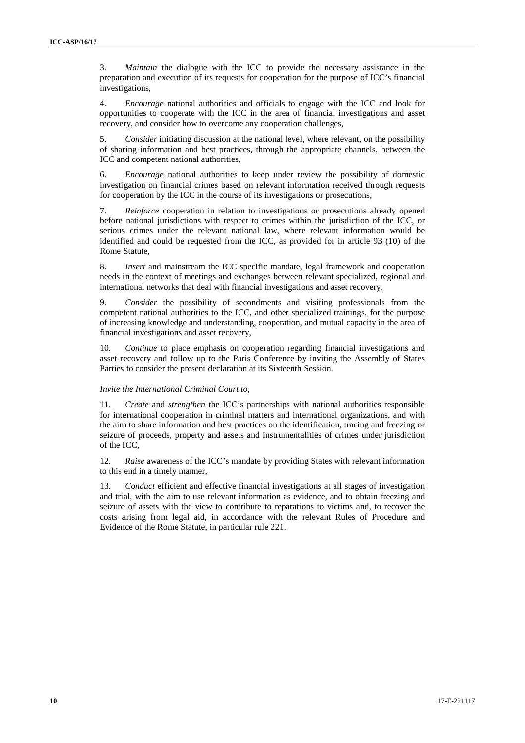3. *Maintain* the dialogue with the ICC to provide the necessary assistance in the preparation and execution of its requests for cooperation for the purpose of ICC's financial investigations,

4. *Encourage* national authorities and officials to engage with the ICC and look for opportunities to cooperate with the ICC in the area of financial investigations and asset recovery, and consider how to overcome any cooperation challenges,

5. *Consider* initiating discussion at the national level, where relevant, on the possibility of sharing information and best practices, through the appropriate channels, between the ICC and competent national authorities,

6. *Encourage* national authorities to keep under review the possibility of domestic investigation on financial crimes based on relevant information received through requests for cooperation by the ICC in the course of its investigations or prosecutions,

7. *Reinforce* cooperation in relation to investigations or prosecutions already opened before national jurisdictions with respect to crimes within the jurisdiction of the ICC, or serious crimes under the relevant national law, where relevant information would be identified and could be requested from the ICC, as provided for in article 93 (10) of the Rome Statute,

8. *Insert* and mainstream the ICC specific mandate, legal framework and cooperation needs in the context of meetings and exchanges between relevant specialized, regional and international networks that deal with financial investigations and asset recovery,

9. *Consider* the possibility of secondments and visiting professionals from the competent national authorities to the ICC, and other specialized trainings, for the purpose of increasing knowledge and understanding, cooperation, and mutual capacity in the area of financial investigations and asset recovery,

10. *Continue* to place emphasis on cooperation regarding financial investigations and asset recovery and follow up to the Paris Conference by inviting the Assembly of States Parties to consider the present declaration at its Sixteenth Session.

#### *Invite the International Criminal Court to,*

11. *Create* and *strengthen* the ICC's partnerships with national authorities responsible for international cooperation in criminal matters and international organizations, and with the aim to share information and best practices on the identification, tracing and freezing or seizure of proceeds, property and assets and instrumentalities of crimes under jurisdiction of the ICC,

12. *Raise* awareness of the ICC's mandate by providing States with relevant information to this end in a timely manner,

13. *Conduct* efficient and effective financial investigations at all stages of investigation and trial, with the aim to use relevant information as evidence, and to obtain freezing and seizure of assets with the view to contribute to reparations to victims and, to recover the costs arising from legal aid, in accordance with the relevant Rules of Procedure and Evidence of the Rome Statute, in particular rule 221.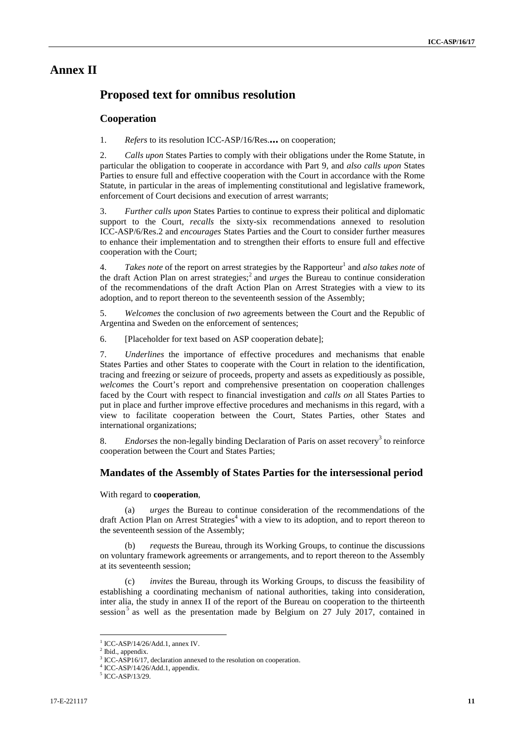### **Annex II**

## **Proposed text for omnibus resolution**

#### **Cooperation**

1. *Refers* to its resolution ICC-ASP/16/Res.**…** on cooperation;

2. *Calls upon* States Parties to comply with their obligations under the Rome Statute, in particular the obligation to cooperate in accordance with Part 9, and *also calls upon* States Parties to ensure full and effective cooperation with the Court in accordance with the Rome Statute, in particular in the areas of implementing constitutional and legislative framework, enforcement of Court decisions and execution of arrest warrants;

3. *Further calls upon* States Parties to continue to express their political and diplomatic support to the Court, *recalls* the sixty-six recommendations annexed to resolution ICC-ASP/6/Res.2 and *encourages* States Parties and the Court to consider further measures to enhance their implementation and to strengthen their efforts to ensure full and effective cooperation with the Court;

4. *Takes note* of the report on arrest strategies by the Rapporteur<sup>1</sup> and *also takes note* of the draft Action Plan on arrest strategies;<sup>2</sup> and *urges* the Bureau to continue consideration of the recommendations of the draft Action Plan on Arrest Strategies with a view to its adoption, and to report thereon to the seventeenth session of the Assembly;

5. *Welcomes* the conclusion of *two* agreements between the Court and the Republic of Argentina and Sweden on the enforcement of sentences;

6. [Placeholder for text based on ASP cooperation debate];

7. *Underlines* the importance of effective procedures and mechanisms that enable States Parties and other States to cooperate with the Court in relation to the identification, tracing and freezing or seizure of proceeds, property and assets as expeditiously as possible, *welcomes* the Court's report and comprehensive presentation on cooperation challenges faced by the Court with respect to financial investigation and *calls on* all States Parties to put in place and further improve effective procedures and mechanisms in this regard, with a view to facilitate cooperation between the Court, States Parties, other States and international organizations;

8. *Endorses* the non-legally binding Declaration of Paris on asset recovery<sup>3</sup> to reinforce cooperation between the Court and States Parties;

#### **Mandates of the Assembly of States Parties for the intersessional period**

With regard to **cooperation**,

*urges* the Bureau to continue consideration of the recommendations of the draft Action Plan on Arrest Strategies<sup>4</sup> with a view to its adoption, and to report thereon to the seventeenth session of the Assembly;

(b) *requests* the Bureau, through its Working Groups, to continue the discussions on voluntary framework agreements or arrangements, and to report thereon to the Assembly at its seventeenth session;

(c) *invites* the Bureau, through its Working Groups, to discuss the feasibility of establishing a coordinating mechanism of national authorities, taking into consideration, inter alia, the study in annex II of the report of the Bureau on cooperation to the thirteenth session<sup>5</sup> as well as the presentation made by Belgium on  $27$  July 2017, contained in

 $\frac{1}{2}$  ICC-ASP/14/26/Add.1, annex IV.<br> $\frac{2}{2}$  Ibid., appendix.

ICC-ASP16/17, declaration annexed to the resolution on cooperation.

 $^{4}$  ICC-ASP/14/26/Add.1, appendix.<br> $^{5}$  ICC-ASP/13/29.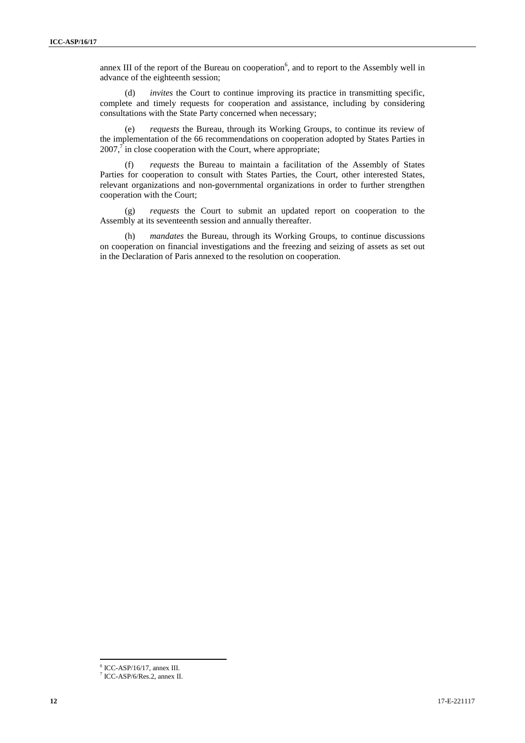annex III of the report of the Bureau on cooperation<sup>6</sup>, and to report to the Assembly well in advance of the eighteenth session;

(d) *invites* the Court to continue improving its practice in transmitting specific, complete and timely requests for cooperation and assistance, including by considering consultations with the State Party concerned when necessary;

(e) *requests* the Bureau, through its Working Groups, to continue its review of the implementation of the 66 recommendations on cooperation adopted by States Parties in  $2007<sup>7</sup>$  in close cooperation with the Court, where appropriate;

(f) *requests* the Bureau to maintain a facilitation of the Assembly of States Parties for cooperation to consult with States Parties, the Court, other interested States, relevant organizations and non-governmental organizations in order to further strengthen cooperation with the Court;

(g) *requests* the Court to submit an updated report on cooperation to the Assembly at its seventeenth session and annually thereafter.

(h) *mandates* the Bureau, through its Working Groups, to continue discussions on cooperation on financial investigations and the freezing and seizing of assets as set out in the Declaration of Paris annexed to the resolution on cooperation.

 $\frac{6}{7}$  ICC-ASP/16/17, annex III.<br> $\frac{7}{7}$  ICC-ASP/6/Res.2, annex II.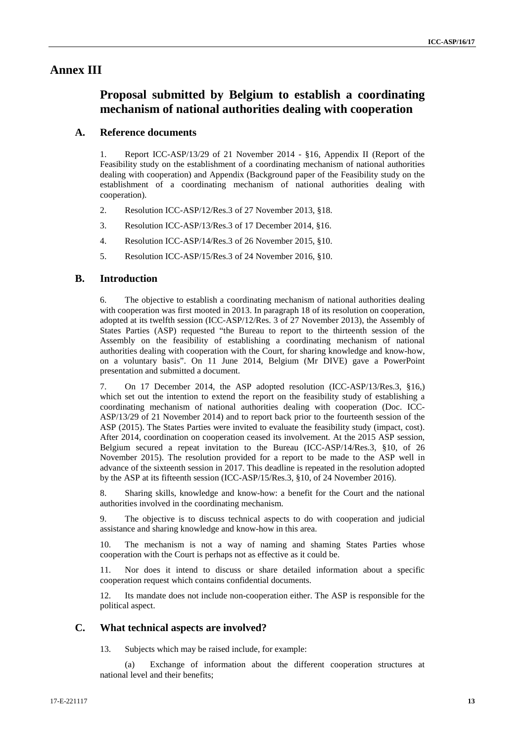### **Annex III**

## **Proposal submitted by Belgium to establish a coordinating mechanism of national authorities dealing with cooperation**

#### **A. Reference documents**

1. Report ICC-ASP/13/29 of 21 November 2014 - §16, Appendix II (Report of the Feasibility study on the establishment of a coordinating mechanism of national authorities dealing with cooperation) and Appendix (Background paper of the Feasibility study on the establishment of a coordinating mechanism of national authorities dealing with cooperation).

- 2. Resolution ICC-ASP/12/Res.3 of 27 November 2013, §18.
- 3. Resolution ICC-ASP/13/Res.3 of 17 December 2014, §16.
- 4. Resolution ICC-ASP/14/Res.3 of 26 November 2015, §10.
- 5. Resolution ICC-ASP/15/Res.3 of 24 November 2016, §10.

#### **B. Introduction**

6. The objective to establish a coordinating mechanism of national authorities dealing with cooperation was first mooted in 2013. In paragraph 18 of its resolution on cooperation, adopted at its twelfth session (ICC-ASP/12/Res. 3 of 27 November 2013), the Assembly of States Parties (ASP) requested "the Bureau to report to the thirteenth session of the Assembly on the feasibility of establishing a coordinating mechanism of national authorities dealing with cooperation with the Court, for sharing knowledge and know-how, on a voluntary basis". On 11 June 2014, Belgium (Mr DIVE) gave a PowerPoint presentation and submitted a document.

7. On 17 December 2014, the ASP adopted resolution (ICC-ASP/13/Res.3, §16,) which set out the intention to extend the report on the feasibility study of establishing a coordinating mechanism of national authorities dealing with cooperation (Doc. ICC- ASP/13/29 of 21 November 2014) and to report back prior to the fourteenth session of the ASP (2015). The States Parties were invited to evaluate the feasibility study (impact, cost). After 2014, coordination on cooperation ceased its involvement. At the 2015 ASP session, Belgium secured a repeat invitation to the Bureau (ICC-ASP/14/Res.3, §10, of 26 November 2015). The resolution provided for a report to be made to the ASP well in advance of the sixteenth session in 2017. This deadline is repeated in the resolution adopted by the ASP at its fifteenth session (ICC-ASP/15/Res.3, §10, of 24 November 2016).

8. Sharing skills, knowledge and know-how: a benefit for the Court and the national authorities involved in the coordinating mechanism.

9. The objective is to discuss technical aspects to do with cooperation and judicial assistance and sharing knowledge and know-how in this area.

10. The mechanism is not a way of naming and shaming States Parties whose cooperation with the Court is perhaps not as effective as it could be.

11. Nor does it intend to discuss or share detailed information about a specific cooperation request which contains confidential documents.

12. Its mandate does not include non-cooperation either. The ASP is responsible for the political aspect.

#### **C. What technical aspects are involved?**

13. Subjects which may be raised include, for example:

(a) Exchange of information about the different cooperation structures at national level and their benefits;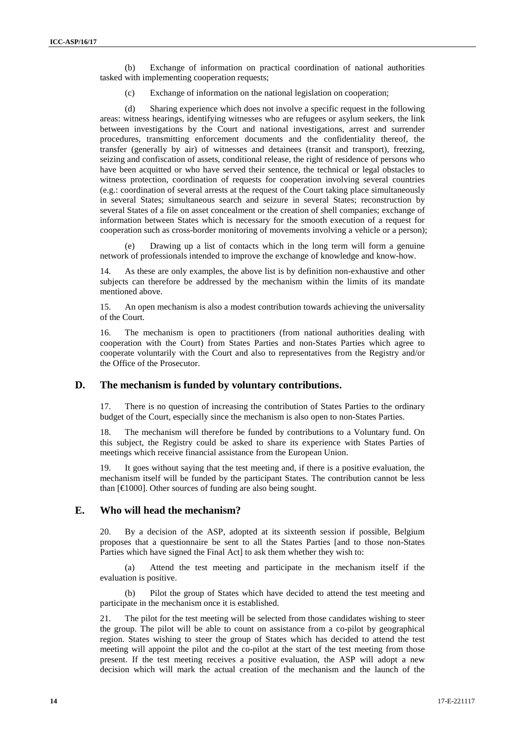(b) Exchange of information on practical coordination of national authorities tasked with implementing cooperation requests;

(c) Exchange of information on the national legislation on cooperation;

(d) Sharing experience which does not involve a specific request in the following areas: witness hearings, identifying witnesses who are refugees or asylum seekers, the link between investigations by the Court and national investigations, arrest and surrender procedures, transmitting enforcement documents and the confidentiality thereof, the transfer (generally by air) of witnesses and detainees (transit and transport), freezing, seizing and confiscation of assets, conditional release, the right of residence of persons who have been acquitted or who have served their sentence, the technical or legal obstacles to witness protection, coordination of requests for cooperation involving several countries (e.g.: coordination of several arrests at the request of the Court taking place simultaneously in several States; simultaneous search and seizure in several States; reconstruction by several States of a file on asset concealment or the creation of shell companies; exchange of information between States which is necessary for the smooth execution of a request for cooperation such as cross-border monitoring of movements involving a vehicle or a person);

(e) Drawing up a list of contacts which in the long term will form a genuine network of professionals intended to improve the exchange of knowledge and know-how.

As these are only examples, the above list is by definition non-exhaustive and other subjects can therefore be addressed by the mechanism within the limits of its mandate mentioned above.

15. An open mechanism is also a modest contribution towards achieving the universality of the Court.

16. The mechanism is open to practitioners (from national authorities dealing with cooperation with the Court) from States Parties and non-States Parties which agree to cooperate voluntarily with the Court and also to representatives from the Registry and/or the Office of the Prosecutor.

#### **D. The mechanism is funded by voluntary contributions.**

17. There is no question of increasing the contribution of States Parties to the ordinary budget of the Court, especially since the mechanism is also open to non-States Parties.

18. The mechanism will therefore be funded by contributions to a Voluntary fund. On this subject, the Registry could be asked to share its experience with States Parties of meetings which receive financial assistance from the European Union.

19. It goes without saying that the test meeting and, if there is a positive evaluation, the mechanism itself will be funded by the participant States. The contribution cannot be less than  $\lceil \in \mathcal{A} \rceil$  (000). Other sources of funding are also being sought.

#### **E. Who will head the mechanism?**

20. By a decision of the ASP, adopted at its sixteenth session if possible, Belgium proposes that a questionnaire be sent to all the States Parties [and to those non-States Parties which have signed the Final Act] to ask them whether they wish to:

(a) Attend the test meeting and participate in the mechanism itself if the evaluation is positive.

(b) Pilot the group of States which have decided to attend the test meeting and participate in the mechanism once it is established.

21. The pilot for the test meeting will be selected from those candidates wishing to steer the group. The pilot will be able to count on assistance from a co-pilot by geographical region. States wishing to steer the group of States which has decided to attend the test meeting will appoint the pilot and the co-pilot at the start of the test meeting from those present. If the test meeting receives a positive evaluation, the ASP will adopt a new decision which will mark the actual creation of the mechanism and the launch of the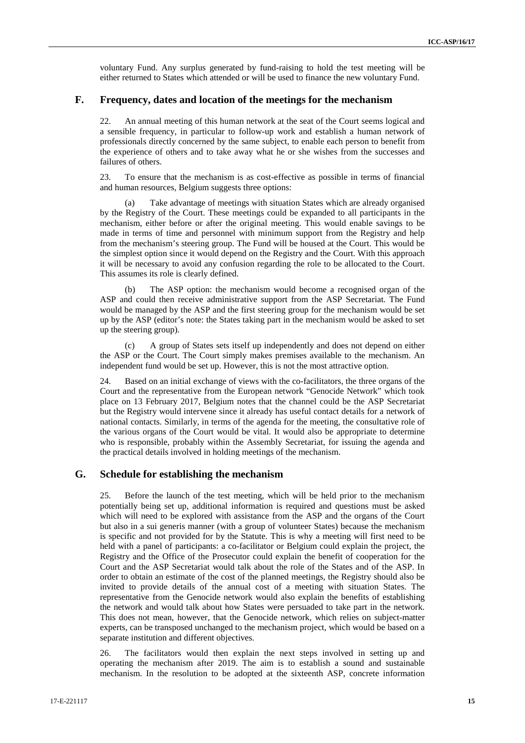voluntary Fund. Any surplus generated by fund-raising to hold the test meeting will be either returned to States which attended or will be used to finance the new voluntary Fund.

#### **F. Frequency, dates and location of the meetings for the mechanism**

22. An annual meeting of this human network at the seat of the Court seems logical and a sensible frequency, in particular to follow-up work and establish a human network of professionals directly concerned by the same subject, to enable each person to benefit from the experience of others and to take away what he or she wishes from the successes and failures of others.

23. To ensure that the mechanism is as cost-effective as possible in terms of financial and human resources, Belgium suggests three options:

(a) Take advantage of meetings with situation States which are already organised by the Registry of the Court. These meetings could be expanded to all participants in the mechanism, either before or after the original meeting. This would enable savings to be made in terms of time and personnel with minimum support from the Registry and help from the mechanism's steering group. The Fund will be housed at the Court. This would be the simplest option since it would depend on the Registry and the Court. With this approach it will be necessary to avoid any confusion regarding the role to be allocated to the Court. This assumes its role is clearly defined.

The ASP option: the mechanism would become a recognised organ of the ASP and could then receive administrative support from the ASP Secretariat. The Fund would be managed by the ASP and the first steering group for the mechanism would be set up by the ASP (editor's note: the States taking part in the mechanism would be asked to set up the steering group).

(c) A group of States sets itself up independently and does not depend on either the ASP or the Court. The Court simply makes premises available to the mechanism. An independent fund would be set up. However, this is not the most attractive option.

24. Based on an initial exchange of views with the co-facilitators, the three organs of the Court and the representative from the European network "Genocide Network" which took place on 13 February 2017, Belgium notes that the channel could be the ASP Secretariat but the Registry would intervene since it already has useful contact details for a network of national contacts. Similarly, in terms of the agenda for the meeting, the consultative role of the various organs of the Court would be vital. It would also be appropriate to determine who is responsible, probably within the Assembly Secretariat, for issuing the agenda and the practical details involved in holding meetings of the mechanism.

#### **G. Schedule for establishing the mechanism**

25. Before the launch of the test meeting, which will be held prior to the mechanism potentially being set up, additional information is required and questions must be asked which will need to be explored with assistance from the ASP and the organs of the Court but also in a sui generis manner (with a group of volunteer States) because the mechanism is specific and not provided for by the Statute. This is why a meeting will first need to be held with a panel of participants: a co-facilitator or Belgium could explain the project, the Registry and the Office of the Prosecutor could explain the benefit of cooperation for the Court and the ASP Secretariat would talk about the role of the States and of the ASP. In order to obtain an estimate of the cost of the planned meetings, the Registry should also be invited to provide details of the annual cost of a meeting with situation States. The representative from the Genocide network would also explain the benefits of establishing the network and would talk about how States were persuaded to take part in the network. This does not mean, however, that the Genocide network, which relies on subject-matter experts, can be transposed unchanged to the mechanism project, which would be based on a separate institution and different objectives.

26. The facilitators would then explain the next steps involved in setting up and operating the mechanism after 2019. The aim is to establish a sound and sustainable mechanism. In the resolution to be adopted at the sixteenth ASP, concrete information